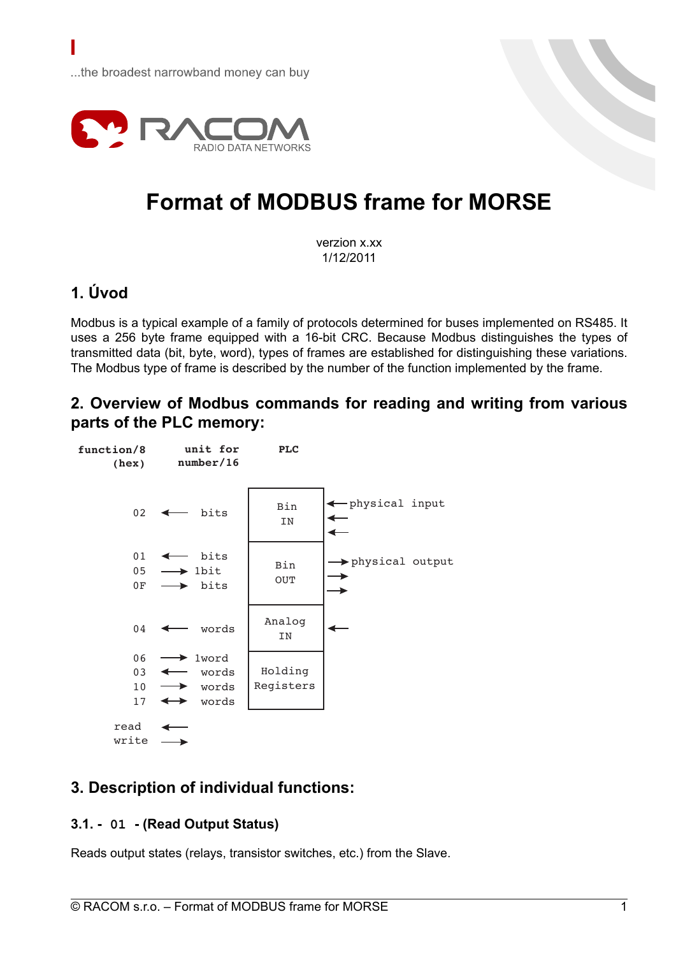

# **Format of MODBUS frame for MORSE**

verzion x.xx 1/12/2011

# **1. Úvod**

Modbus is a typical example of a family of protocols determined for buses implemented on RS485. It uses a 256 byte frame equipped with a 16-bit CRC. Because Modbus distinguishes the types of transmitted data (bit, byte, word), types of frames are established for distinguishing these variations. The Modbus type of frame is described by the number of the function implemented by the frame.

## **2. Overview of Modbus commands for reading and writing from various parts of the PLC memory:**



# **3. Description of individual functions:**

## **3.1. - 01 - (Read Output Status)**

Reads output states (relays, transistor switches, etc.) from the Slave.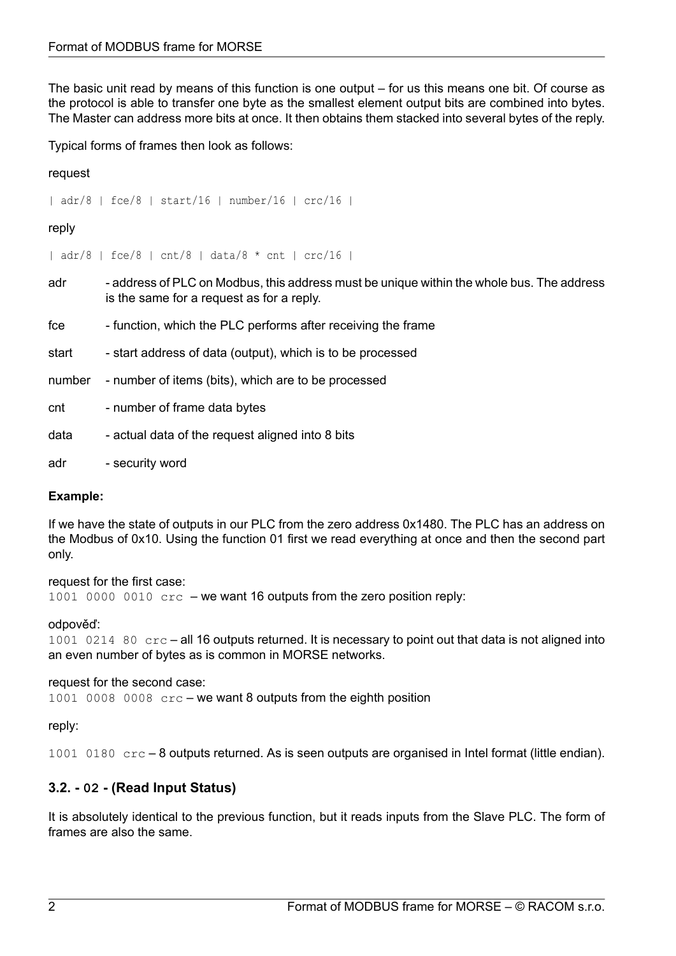The basic unit read by means of this function is one output – for us this means one bit. Of course as the protocol is able to transfer one byte as the smallest element output bits are combined into bytes. The Master can address more bits at once. It then obtains them stacked into several bytes of the reply.

Typical forms of frames then look as follows:

request

| adr/8 | fce/8 | start/16 | number/16 | crc/16 |

## reply

| adr/8 | fce/8 | cnt/8 | data/8 \* cnt | crc/16 |

- adr address of PLC on Modbus, this address must be unique within the whole bus. The address is the same for a request as for a reply.
- fre function, which the PLC performs after receiving the frame
- start start address of data (output), which is to be processed
- number number of items (bits), which are to be processed
- cnt number of frame data bytes
- data actual data of the request aligned into 8 bits
- adr security word

## **Example:**

If we have the state of outputs in our PLC from the zero address 0x1480. The PLC has an address on the Modbus of 0x10. Using the function 01 first we read everything at once and then the second part only.

#### request for the first case:

 $1001$  0000 0010  $\text{crc}$  – we want 16 outputs from the zero position reply:

## odpověď:

1001 0214 80 crc – all 16 outputs returned. It is necessary to point out that data is not aligned into an even number of bytes as is common in MORSE networks.

## request for the second case:

1001 0008 0008 crc – we want 8 outputs from the eighth position

## reply:

1001 0180 crc – 8 outputs returned. As is seen outputs are organised in Intel format (little endian).

## **3.2. - 02 - (Read Input Status)**

It is absolutely identical to the previous function, but it reads inputs from the Slave PLC. The form of frames are also the same.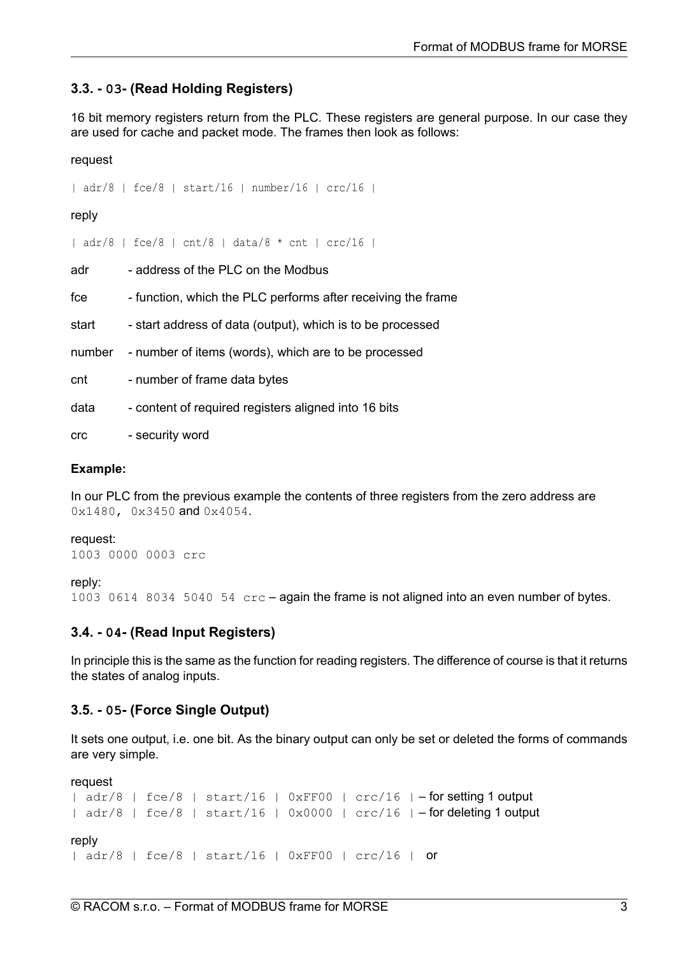## **3.3. - 03- (Read Holding Registers)**

16 bit memory registers return from the PLC. These registers are general purpose. In our case they are used for cache and packet mode. The frames then look as follows:

request

| adr/8 | fce/8 | start/16 | number/16 | crc/16 |

reply

| adr/8 | fce/8 | cnt/8 | data/8 \* cnt | crc/16 |

adr - address of the PLC on the Modbus

fre function, which the PLC performs after receiving the frame

start - start address of data (output), which is to be processed

number - number of items (words), which are to be processed

cnt - number of frame data bytes

data - content of required registers aligned into 16 bits

crc - security word

#### **Example:**

In our PLC from the previous example the contents of three registers from the zero address are 0x1480, 0x3450 and 0x4054.

request:

```
1003 0000 0003 crc
```
reply:

1003 0614 8034 5040 54 crc – again the frame is not aligned into an even number of bytes.

## **3.4. - 04- (Read Input Registers)**

In principle this is the same as the function for reading registers. The difference of course is that it returns the states of analog inputs.

#### **3.5. - 05- (Force Single Output)**

It sets one output, i.e. one bit. As the binary output can only be set or deleted the forms of commands are very simple.

request

```
| adr/8 | fce/8 | stat/16 | 0xFF00 | cr/16 | - for setting 1 output
| adr/8 | fce/8 | start/16 | 0x0000 | crc/16 | – for deleting 1 output
reply
| adr/8 | fce/8 | start/16 | 0xFF00 | crc/16 | or
```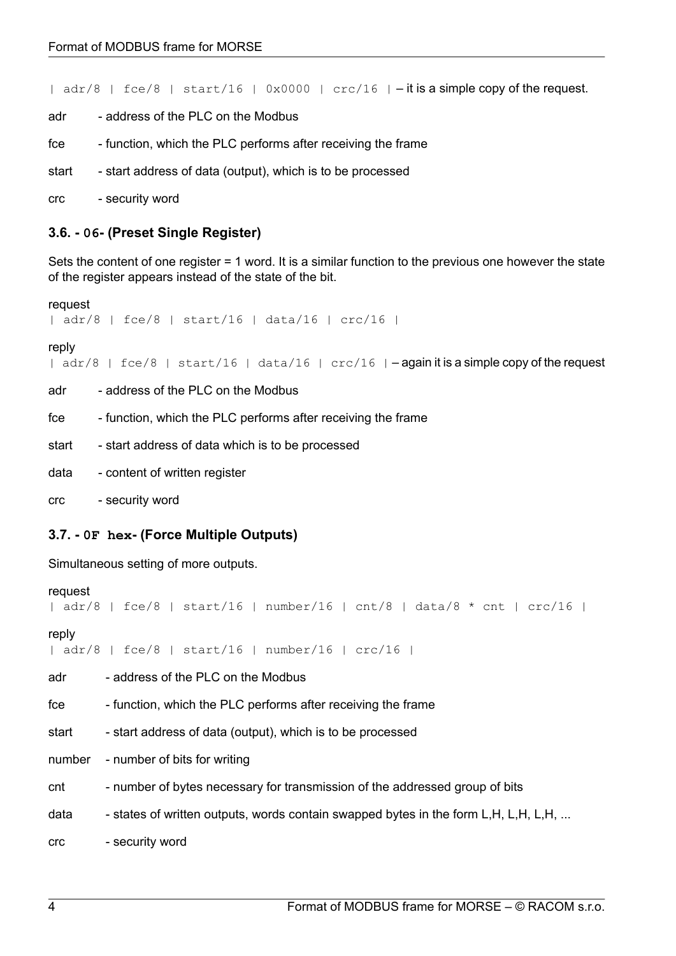|  $adr/8$  |  $fce/8$  |  $start/16$  |  $0x0000$  |  $crc/16$  |  $-$  it is a simple copy of the request.

- adr address of the PLC on the Modbus
- fce function, which the PLC performs after receiving the frame
- start start address of data (output), which is to be processed
- crc security word

### **3.6. - 06- (Preset Single Register)**

Sets the content of one register = 1 word. It is a similar function to the previous one however the state of the register appears instead of the state of the bit.

```
request
```
| adr/8 | fce/8 | start/16 | data/16 | crc/16 |

reply

|  $adr/8$  |  $fce/8$  |  $stat/16$  |  $data/16$  |  $cr/16$  |  $-$ again it is a simple copy of the request

- adr address of the PLC on the Modbus
- fce function, which the PLC performs after receiving the frame
- start start address of data which is to be processed
- data content of written register
- crc security word

#### **3.7. - 0F hex- (Force Multiple Outputs)**

Simultaneous setting of more outputs.

```
request
```
| adr/8 | fce/8 | start/16 | number/16 | cnt/8 | data/8  $\star$  cnt | crc/16 |

reply

| adr/8 | fce/8 | start/16 | number/16 | crc/16 |

adr - address of the PLC on the Modbus

free - function, which the PLC performs after receiving the frame

start - start address of data (output), which is to be processed

number - number of bits for writing

- cnt number of bytes necessary for transmission of the addressed group of bits
- data  $-$  states of written outputs, words contain swapped bytes in the form L,H, L,H, L,H, ...

crc - security word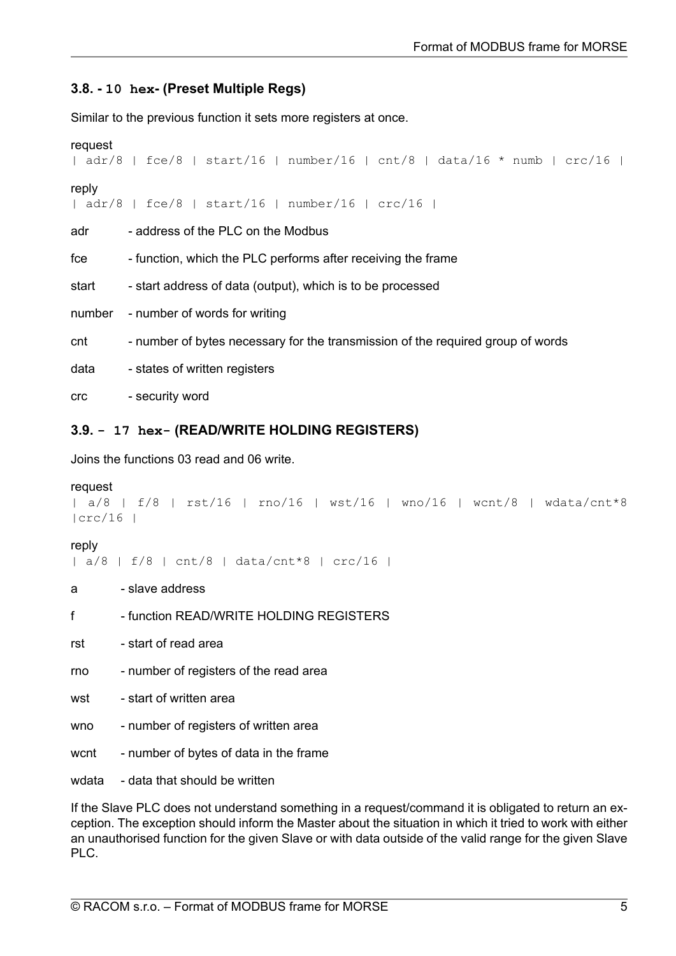## **3.8. - 10 hex- (Preset Multiple Regs)**

Similar to the previous function it sets more registers at once.

```
request
```
| adr/8 | fce/8 | start/16 | number/16 | cnt/8 | data/16 \* numb | crc/16 |

### reply

| adr/8 | fce/8 | start/16 | number/16 | crc/16 |

adr - address of the PLC on the Modbus

fre - function, which the PLC performs after receiving the frame

start - start address of data (output), which is to be processed

number - number of words for writing

cnt - number of bytes necessary for the transmission of the required group of words

data - states of written registers

crc - security word

## **3.9. - 17 hex- (READ/WRITE HOLDING REGISTERS)**

Joins the functions 03 read and 06 write.

## request

```
| a/8 | f/8 | rst/16 | rno/16 | wst/16 | wno/16 | wcnt/8 | wdata/cnt*8
|crc/16 |
```
## reply

| a/8 | f/8 | cnt/8 | data/cnt\*8 | crc/16 |

- a slave address
- f function READ/WRITE HOLDING REGISTERS
- rst start of read area
- rno number of registers of the read area
- wst start of written area
- wno number of registers of written area
- wcnt number of bytes of data in the frame

wdata - data that should be written

If the Slave PLC does not understand something in a request/command it is obligated to return an exception. The exception should inform the Master about the situation in which it tried to work with either an unauthorised function for the given Slave or with data outside of the valid range for the given Slave PLC.